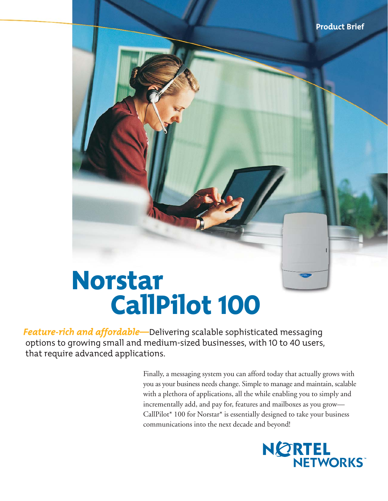# Norstar CallPilot 100

*Feature-rich and affordable—*Delivering scalable sophisticated messaging options to growing small and medium-sized businesses, with 10 to 40 users, that require advanced applications.

> Finally, a messaging system you can afford today that actually grows with you as your business needs change. Simple to manage and maintain, scalable with a plethora of applications, all the while enabling you to simply and incrementally add, and pay for, features and mailboxes as you grow— CallPilot\* 100 for Norstar\* is essentially designed to take your business communications into the next decade and beyond!

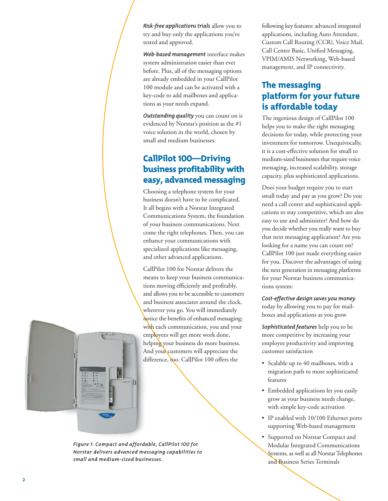*Risk-free applications trials* allow you to try and buy only the applications you've tested and approved.

*Web-based management* interface makes system administration easier than ever before. Plus, all of the messaging options are already embedded in your CallPilot 100 module and can be activated with a key-code to add mailboxes and applications as your needs expand.

*Outstanding quality* you can count on is evidenced by Norstar's position as the #1 voice solution in the world, chosen by small and medium businesses.

# CallPilot 100—Driving business profitability with easy, advanced messaging

Choosing a telephone system for your business doesn't have to be complicated. It all begins with a Norstar Integrated Communications System, the foundation of your business communications. Next come the right telephones. Then, you can enhance your communications with specialized applications like messaging, and other advanced applications.

CallPilot 100 for Norstar delivers the means to keep your business communications moving efficiently and profitably, and allows you to be accessible to customers and business associates around the clock, wherever you go. You will immediately notice the benefits of enhanced messaging; with each communication, you and your employees will get more work done, helping your business do more business. And your customers will appreciate the difference, too. CallPilot 100 offers the



*Figure 1: Compact and affordable, CallPilot 100 for Norstar delivers advanced messaging capabilities to small and medium-sized businesses.*

following key features: advanced integrated applications, including Auto Attendant, Custom Call Routing (CCR), Voice Mail, Call Center Basic, Unified Messaging, VPIM/AMIS Networking, Web-based management, and IP connectivity.

# The messaging platform for your future is affordable today

The ingenious design of CallPilot 100 helps you to make the right messaging decisions for today, while protecting your investment for tomorrow. Unequivocally, it is a cost-effective solution for small to medium-sized businesses that require voice messaging, increased scalability, storage capacity, plus sophisticated applications.

Does your budget require you to start small today and pay as you grow? Do you need a call center and sophisticated applications to stay competitive, which are also easy to use and administer? And how do you decide whether you really want to buy that next messaging application? Are you looking for a name you can count on? CallPilot 100 just made everything easier for you. Discover the advantages of using the next generation in messaging platforms for your Norstar business communications system:

*Cost-effective design saves you money* today by allowing you to pay for mailboxes and applications as you grow

*Sophisticated features* help you to be more competitive by increasing your employee productivity and improving customer satisfaction

- Scalable up to 40 mailboxes, with a migration path to more sophisticated features
- Embedded applications let you easily grow as your business needs change, with simple key-code activation
- IP enabled with 10/100 Ethernet ports supporting Web-based management
- Supported on Norstar Compact and Modular Integrated Communications Systems, as well as all Norstar Telephones and Business Series Terminals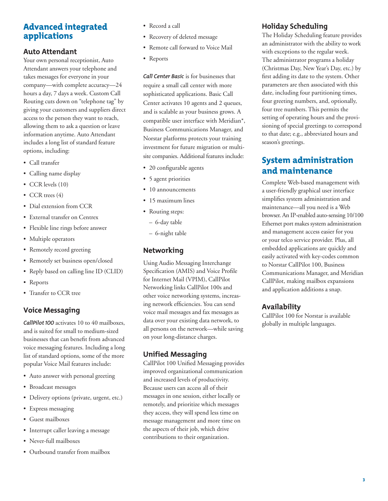## Advanced integrated applications

#### **Auto Attendant**

Your own personal receptionist, Auto Attendant answers your telephone and takes messages for everyone in your company—with complete accuracy—24 hours a day, 7 days a week. Custom Call Routing cuts down on "telephone tag" by giving your customers and suppliers direct access to the person they want to reach, allowing them to ask a question or leave information anytime. Auto Attendant includes a long list of standard feature options, including:

- Call transfer
- Calling name display
- CCR levels (10)
- CCR trees (4)
- Dial extension from CCR
- External transfer on Centrex
- Flexible line rings before answer
- Multiple operators
- Remotely record greeting
- Remotely set business open/closed
- Reply based on calling line ID (CLID)
- Reports
- Transfer to CCR tree

#### **Voice Messaging**

*CallPilot 100* activates 10 to 40 mailboxes, and is suited for small to medium-sized businesses that can benefit from advanced voice messaging features. Including a long list of standard options, some of the more popular Voice Mail features include:

- Auto answer with personal greeting
- Broadcast messages
- Delivery options (private, urgent, etc.)
- Express messaging
- Guest mailboxes
- Interrupt caller leaving a message
- Never-full mailboxes
- Outbound transfer from mailbox
- Record a call
- Recovery of deleted message
- Remote call forward to Voice Mail
- Reports

*Call Center Basic* is for businesses that require a small call center with more sophisticated applications. Basic Call Center activates 10 agents and 2 queues, and is scalable as your business grows. A compatible user interface with Meridian\*, Business Communications Manager, and Norstar platforms protects your training investment for future migration or multisite companies. Additional features include:

- 20 configurable agents
- 5 agent priorities
- 10 announcements
- 15 maximum lines
- Routing steps:
	- 6-day table
	- 6-night table

#### **Networking**

Using Audio Messaging Interchange Specification (AMIS) and Voice Profile for Internet Mail (VPIM), CallPilot Networking links CallPilot 100s and other voice networking systems, increasing network efficiencies. You can send voice mail messages and fax messages as data over your existing data network, to all persons on the network—while saving on your long-distance charges.

#### **Unified Messaging**

CallPilot 100 Unified Messaging provides improved organizational communication and increased levels of productivity. Because users can access all of their messages in one session, either locally or remotely, and prioritize which messages they access, they will spend less time on message management and more time on the aspects of their job, which drive contributions to their organization.

#### **Holiday Scheduling**

The Holiday Scheduling feature provides an administrator with the ability to work with exceptions to the regular week. The administrator programs a holiday (Christmas Day, New Year's Day, etc.) by first adding its date to the system. Other parameters are then associated with this date, including four partitioning times, four greeting numbers, and, optionally, four tree numbers. This permits the setting of operating hours and the provisioning of special greetings to correspond to that date; e.g., abbreviated hours and season's greetings.

# System administration and maintenance

Complete Web-based management with a user-friendly graphical user interface simplifies system administration and maintenance—all you need is a Web browser. An IP-enabled auto-sensing 10/100 Ethernet port makes system administration and management access easier for you or your telco service provider. Plus, all embedded applications are quickly and easily activated with key-codes common to Norstar CallPilot 100, Business Communications Manager, and Meridian CallPilot, making mailbox expansions and application additions a snap.

#### **Availability**

CallPilot 100 for Norstar is available globally in multiple languages.